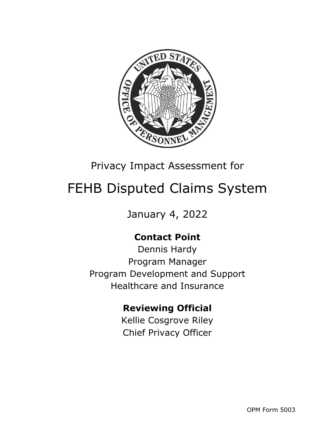

# Privacy Impact Assessment for

# FEHB Disputed Claims System

January 4, 2022

### **Contact Point**

Dennis Hardy Program Manager Program Development and Support Healthcare and Insurance

### **Reviewing Official**

Kellie Cosgrove Riley Chief Privacy Officer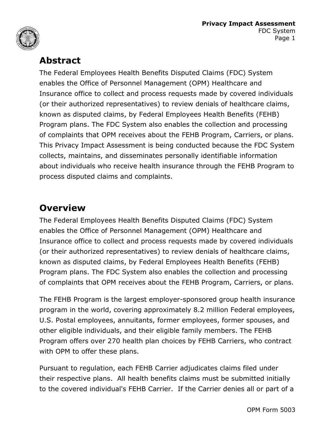



### **Abstract**

The Federal Employees Health Benefits Disputed Claims (FDC) System enables the Office of Personnel Management (OPM) Healthcare and Insurance office to collect and process requests made by covered individuals (or their authorized representatives) to review denials of healthcare claims, known as disputed claims, by Federal Employees Health Benefits (FEHB) Program plans. The FDC System also enables the collection and processing of complaints that OPM receives about the FEHB Program, Carriers, or plans. This Privacy Impact Assessment is being conducted because the FDC System collects, maintains, and disseminates personally identifiable information about individuals who receive health insurance through the FEHB Program to process disputed claims and complaints.

### **Overview**

The Federal Employees Health Benefits Disputed Claims (FDC) System enables the Office of Personnel Management (OPM) Healthcare and Insurance office to collect and process requests made by covered individuals (or their authorized representatives) to review denials of healthcare claims, known as disputed claims, by Federal Employees Health Benefits (FEHB) Program plans. The FDC System also enables the collection and processing of complaints that OPM receives about the FEHB Program, Carriers, or plans.

The FEHB Program is the largest employer-sponsored group health insurance program in the world, covering approximately 8.2 million Federal employees, U.S. Postal employees, annuitants, former employees, former spouses, and other eligible individuals, and their eligible family members. The FEHB Program offers over 270 health plan choices by FEHB Carriers, who contract with OPM to offer these plans.

Pursuant to regulation, each FEHB Carrier adjudicates claims filed under their respective plans. All health benefits claims must be submitted initially to the covered individual's FEHB Carrier. If the Carrier denies all or part of a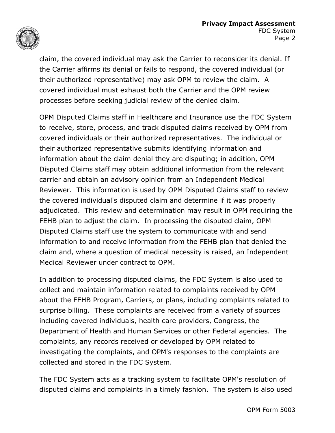

claim, the covered individual may ask the Carrier to reconsider its denial. If the Carrier affirms its denial or fails to respond, the covered individual (or their authorized representative) may ask OPM to review the claim. A covered individual must exhaust both the Carrier and the OPM review processes before seeking judicial review of the denied claim.

OPM Disputed Claims staff in Healthcare and Insurance use the FDC System to receive, store, process, and track disputed claims received by OPM from covered individuals or their authorized representatives. The individual or their authorized representative submits identifying information and information about the claim denial they are disputing; in addition, OPM Disputed Claims staff may obtain additional information from the relevant carrier and obtain an advisory opinion from an Independent Medical Reviewer. This information is used by OPM Disputed Claims staff to review the covered individual's disputed claim and determine if it was properly adjudicated. This review and determination may result in OPM requiring the FEHB plan to adjust the claim. In processing the disputed claim, OPM Disputed Claims staff use the system to communicate with and send information to and receive information from the FEHB plan that denied the claim and, where a question of medical necessity is raised, an Independent Medical Reviewer under contract to OPM.

In addition to processing disputed claims, the FDC System is also used to collect and maintain information related to complaints received by OPM about the FEHB Program, Carriers, or plans, including complaints related to surprise billing. These complaints are received from a variety of sources including covered individuals, health care providers, Congress, the Department of Health and Human Services or other Federal agencies. The complaints, any records received or developed by OPM related to investigating the complaints, and OPM's responses to the complaints are collected and stored in the FDC System.

The FDC System acts as a tracking system to facilitate OPM's resolution of disputed claims and complaints in a timely fashion. The system is also used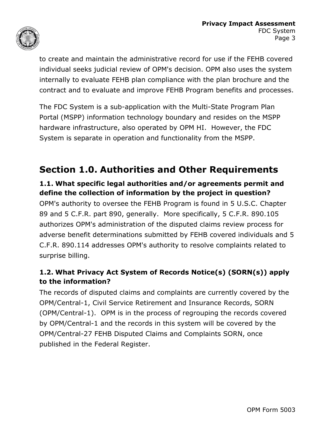

to create and maintain the administrative record for use if the FEHB covered individual seeks judicial review of OPM's decision. OPM also uses the system internally to evaluate FEHB plan compliance with the plan brochure and the contract and to evaluate and improve FEHB Program benefits and processes.

The FDC System is a sub-application with the Multi-State Program Plan Portal (MSPP) information technology boundary and resides on the MSPP hardware infrastructure, also operated by OPM HI. However, the FDC System is separate in operation and functionality from the MSPP.

### **Section 1.0. Authorities and Other Requirements**

#### **1.1. What specific legal authorities and/or agreements permit and define the collection of information by the project in question?**

OPM's authority to oversee the FEHB Program is found in 5 U.S.C. Chapter 89 and 5 C.F.R. part 890, generally. More specifically, 5 C.F.R. 890.105 authorizes OPM's administration of the disputed claims review process for adverse benefit determinations submitted by FEHB covered individuals and 5 C.F.R. 890.114 addresses OPM's authority to resolve complaints related to surprise billing.

#### **1.2. What Privacy Act System of Records Notice(s) (SORN(s)) apply to the information?**

The records of disputed claims and complaints are currently covered by the OPM/Central-1, Civil Service Retirement and Insurance Records, SORN (OPM/Central-1). OPM is in the process of regrouping the records covered by OPM/Central-1 and the records in this system will be covered by the OPM/Central-27 FEHB Disputed Claims and Complaints SORN, once published in the Federal Register.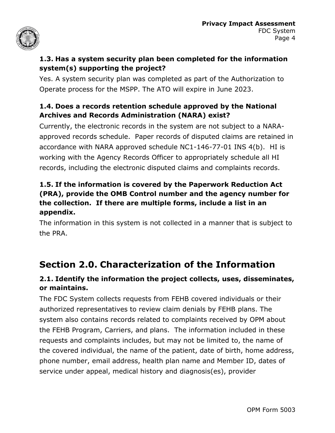

#### **1.3. Has a system security plan been completed for the information system(s) supporting the project?**

Yes. A system security plan was completed as part of the Authorization to Operate process for the MSPP. The ATO will expire in June 2023.

#### **1.4. Does a records retention schedule approved by the National Archives and Records Administration (NARA) exist?**

Currently, the electronic records in the system are not subject to a NARAapproved records schedule. Paper records of disputed claims are retained in accordance with NARA approved schedule NC1-146-77-01 INS 4(b). HI is working with the Agency Records Officer to appropriately schedule all HI records, including the electronic disputed claims and complaints records.

#### **1.5. If the information is covered by the Paperwork Reduction Act (PRA), provide the OMB Control number and the agency number for the collection. If there are multiple forms, include a list in an appendix.**

The information in this system is not collected in a manner that is subject to the PRA.

## **Section 2.0. Characterization of the Information**

#### **2.1. Identify the information the project collects, uses, disseminates, or maintains.**

The FDC System collects requests from FEHB covered individuals or their authorized representatives to review claim denials by FEHB plans. The system also contains records related to complaints received by OPM about the FEHB Program, Carriers, and plans. The information included in these requests and complaints includes, but may not be limited to, the name of the covered individual, the name of the patient, date of birth, home address, phone number, email address, health plan name and Member ID, dates of service under appeal, medical history and diagnosis(es), provider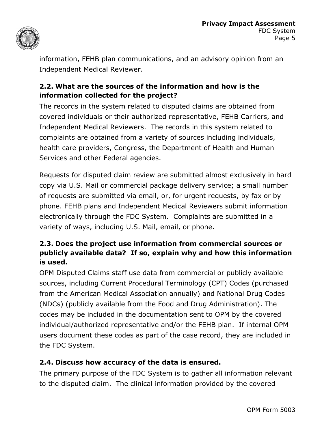

information, FEHB plan communications, and an advisory opinion from an Independent Medical Reviewer.

#### **2.2. What are the sources of the information and how is the information collected for the project?**

The records in the system related to disputed claims are obtained from covered individuals or their authorized representative, FEHB Carriers, and Independent Medical Reviewers. The records in this system related to complaints are obtained from a variety of sources including individuals, health care providers, Congress, the Department of Health and Human Services and other Federal agencies.

Requests for disputed claim review are submitted almost exclusively in hard copy via U.S. Mail or commercial package delivery service; a small number of requests are submitted via email, or, for urgent requests, by fax or by phone. FEHB plans and Independent Medical Reviewers submit information electronically through the FDC System. Complaints are submitted in a variety of ways, including U.S. Mail, email, or phone.

#### **2.3. Does the project use information from commercial sources or publicly available data? If so, explain why and how this information is used.**

OPM Disputed Claims staff use data from commercial or publicly available sources, including Current Procedural Terminology (CPT) Codes (purchased from the American Medical Association annually) and National Drug Codes (NDCs) (publicly available from the Food and Drug Administration). The codes may be included in the documentation sent to OPM by the covered individual/authorized representative and/or the FEHB plan. If internal OPM users document these codes as part of the case record, they are included in the FDC System.

#### **2.4. Discuss how accuracy of the data is ensured.**

The primary purpose of the FDC System is to gather all information relevant to the disputed claim. The clinical information provided by the covered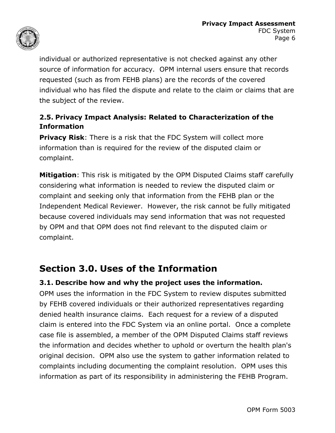

individual or authorized representative is not checked against any other source of information for accuracy. OPM internal users ensure that records requested (such as from FEHB plans) are the records of the covered individual who has filed the dispute and relate to the claim or claims that are the subject of the review.

#### **2.5. Privacy Impact Analysis: Related to Characterization of the Information**

**Privacy Risk**: There is a risk that the FDC System will collect more information than is required for the review of the disputed claim or complaint.

**Mitigation**: This risk is mitigated by the OPM Disputed Claims staff carefully considering what information is needed to review the disputed claim or complaint and seeking only that information from the FEHB plan or the Independent Medical Reviewer. However, the risk cannot be fully mitigated because covered individuals may send information that was not requested by OPM and that OPM does not find relevant to the disputed claim or complaint.

### **Section 3.0. Uses of the Information**

#### **3.1. Describe how and why the project uses the information.**

OPM uses the information in the FDC System to review disputes submitted by FEHB covered individuals or their authorized representatives regarding denied health insurance claims. Each request for a review of a disputed claim is entered into the FDC System via an online portal. Once a complete case file is assembled, a member of the OPM Disputed Claims staff reviews the information and decides whether to uphold or overturn the health plan's original decision. OPM also use the system to gather information related to complaints including documenting the complaint resolution. OPM uses this information as part of its responsibility in administering the FEHB Program.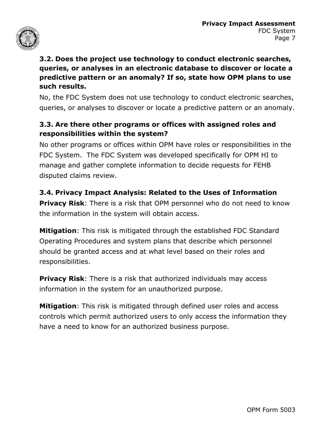

#### **3.2. Does the project use technology to conduct electronic searches, queries, or analyses in an electronic database to discover or locate a predictive pattern or an anomaly? If so, state how OPM plans to use such results.**

No, the FDC System does not use technology to conduct electronic searches, queries, or analyses to discover or locate a predictive pattern or an anomaly.

#### **3.3. Are there other programs or offices with assigned roles and responsibilities within the system?**

No other programs or offices within OPM have roles or responsibilities in the FDC System. The FDC System was developed specifically for OPM HI to manage and gather complete information to decide requests for FEHB disputed claims review.

#### **3.4. Privacy Impact Analysis: Related to the Uses of Information**

**Privacy Risk**: There is a risk that OPM personnel who do not need to know the information in the system will obtain access.

**Mitigation**: This risk is mitigated through the established FDC Standard Operating Procedures and system plans that describe which personnel should be granted access and at what level based on their roles and responsibilities.

**Privacy Risk:** There is a risk that authorized individuals may access information in the system for an unauthorized purpose.

**Mitigation**: This risk is mitigated through defined user roles and access controls which permit authorized users to only access the information they have a need to know for an authorized business purpose.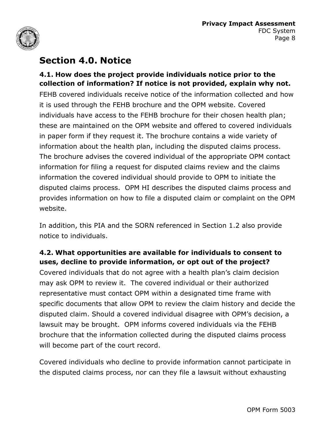

### **Section 4.0. Notice**

### **4.1. How does the project provide individuals notice prior to the collection of information? If notice is not provided, explain why not.**

FEHB covered individuals receive notice of the information collected and how it is used through the FEHB brochure and the OPM website. Covered individuals have access to the FEHB brochure for their chosen health plan; these are maintained on the OPM website and offered to covered individuals in paper form if they request it. The brochure contains a wide variety of information about the health plan, including the disputed claims process. The brochure advises the covered individual of the appropriate OPM contact information for filing a request for disputed claims review and the claims information the covered individual should provide to OPM to initiate the disputed claims process. OPM HI describes the disputed claims process and provides information on how to file a disputed claim or complaint on the OPM website.

In addition, this PIA and the SORN referenced in Section 1.2 also provide notice to individuals.

#### **4.2. What opportunities are available for individuals to consent to uses, decline to provide information, or opt out of the project?**

Covered individuals that do not agree with a health plan's claim decision may ask OPM to review it. The covered individual or their authorized representative must contact OPM within a designated time frame with specific documents that allow OPM to review the claim history and decide the disputed claim. Should a covered individual disagree with OPM's decision, a lawsuit may be brought. OPM informs covered individuals via the FEHB brochure that the information collected during the disputed claims process will become part of the court record.

Covered individuals who decline to provide information cannot participate in the disputed claims process, nor can they file a lawsuit without exhausting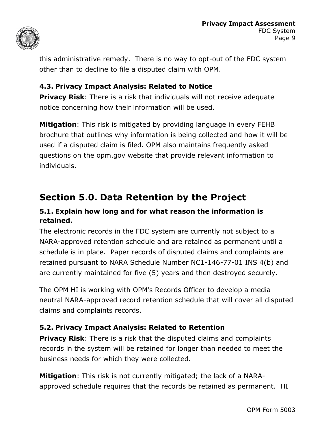

this administrative remedy. There is no way to opt-out of the FDC system other than to decline to file a disputed claim with OPM.

#### **4.3. Privacy Impact Analysis: Related to Notice**

**Privacy Risk:** There is a risk that individuals will not receive adequate notice concerning how their information will be used.

**Mitigation**: This risk is mitigated by providing language in every FEHB brochure that outlines why information is being collected and how it will be used if a disputed claim is filed. OPM also maintains frequently asked questions on the opm.gov website that provide relevant information to individuals.

### **Section 5.0. Data Retention by the Project**

#### **5.1. Explain how long and for what reason the information is retained.**

The electronic records in the FDC system are currently not subject to a NARA-approved retention schedule and are retained as permanent until a schedule is in place. Paper records of disputed claims and complaints are retained pursuant to NARA Schedule Number NC1-146-77-01 INS 4(b) and are currently maintained for five (5) years and then destroyed securely.

The OPM HI is working with OPM's Records Officer to develop a media neutral NARA-approved record retention schedule that will cover all disputed claims and complaints records.

#### **5.2. Privacy Impact Analysis: Related to Retention**

**Privacy Risk**: There is a risk that the disputed claims and complaints records in the system will be retained for longer than needed to meet the business needs for which they were collected.

**Mitigation**: This risk is not currently mitigated; the lack of a NARAapproved schedule requires that the records be retained as permanent. HI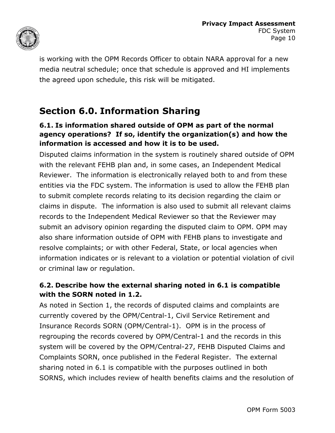

is working with the OPM Records Officer to obtain NARA approval for a new media neutral schedule; once that schedule is approved and HI implements the agreed upon schedule, this risk will be mitigated.

### **Section 6.0. Information Sharing**

#### **6.1. Is information shared outside of OPM as part of the normal agency operations? If so, identify the organization(s) and how the information is accessed and how it is to be used.**

Disputed claims information in the system is routinely shared outside of OPM with the relevant FEHB plan and, in some cases, an Independent Medical Reviewer. The information is electronically relayed both to and from these entities via the FDC system. The information is used to allow the FEHB plan to submit complete records relating to its decision regarding the claim or claims in dispute. The information is also used to submit all relevant claims records to the Independent Medical Reviewer so that the Reviewer may submit an advisory opinion regarding the disputed claim to OPM. OPM may also share information outside of OPM with FEHB plans to investigate and resolve complaints; or with other Federal, State, or local agencies when information indicates or is relevant to a violation or potential violation of civil or criminal law or regulation.

#### **6.2. Describe how the external sharing noted in 6.1 is compatible with the SORN noted in 1.2.**

As noted in Section 1, the records of disputed claims and complaints are currently covered by the OPM/Central-1, Civil Service Retirement and Insurance Records SORN (OPM/Central-1). OPM is in the process of regrouping the records covered by OPM/Central-1 and the records in this system will be covered by the OPM/Central-27, FEHB Disputed Claims and Complaints SORN, once published in the Federal Register. The external sharing noted in 6.1 is compatible with the purposes outlined in both SORNS, which includes review of health benefits claims and the resolution of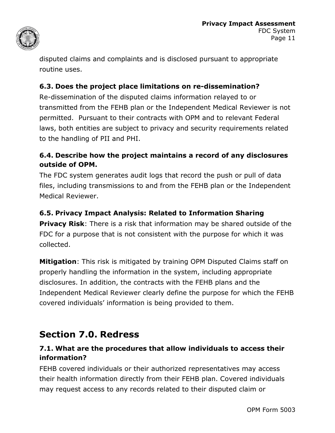

disputed claims and complaints and is disclosed pursuant to appropriate routine uses.

#### **6.3. Does the project place limitations on re-dissemination?**

Re-dissemination of the disputed claims information relayed to or transmitted from the FEHB plan or the Independent Medical Reviewer is not permitted. Pursuant to their contracts with OPM and to relevant Federal laws, both entities are subject to privacy and security requirements related to the handling of PII and PHI.

#### **6.4. Describe how the project maintains a record of any disclosures outside of OPM.**

The FDC system generates audit logs that record the push or pull of data files, including transmissions to and from the FEHB plan or the Independent Medical Reviewer.

#### **6.5. Privacy Impact Analysis: Related to Information Sharing**

**Privacy Risk**: There is a risk that information may be shared outside of the FDC for a purpose that is not consistent with the purpose for which it was collected.

**Mitigation**: This risk is mitigated by training OPM Disputed Claims staff on properly handling the information in the system, including appropriate disclosures. In addition, the contracts with the FEHB plans and the Independent Medical Reviewer clearly define the purpose for which the FEHB covered individuals' information is being provided to them.

### **Section 7.0. Redress**

#### **7.1. What are the procedures that allow individuals to access their information?**

FEHB covered individuals or their authorized representatives may access their health information directly from their FEHB plan. Covered individuals may request access to any records related to their disputed claim or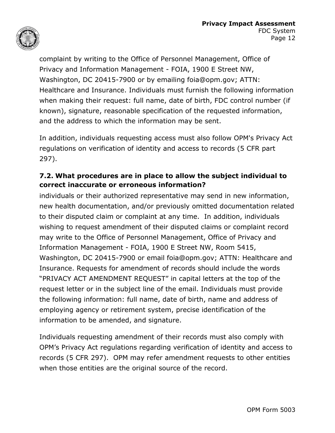

complaint by writing to the Office of Personnel Management, Office of Privacy and Information Management - FOIA, 1900 E Street NW, Washington, DC 20415-7900 or by emailing foia@opm.gov; ATTN: Healthcare and Insurance. Individuals must furnish the following information when making their request: full name, date of birth, FDC control number (if known), signature, reasonable specification of the requested information, and the address to which the information may be sent.

In addition, individuals requesting access must also follow OPM's Privacy Act regulations on verification of identity and access to records (5 CFR part 297).

#### **7.2. What procedures are in place to allow the subject individual to correct inaccurate or erroneous information?**

individuals or their authorized representative may send in new information, new health documentation, and/or previously omitted documentation related to their disputed claim or complaint at any time. In addition, individuals wishing to request amendment of their disputed claims or complaint record may write to the Office of Personnel Management, Office of Privacy and Information Management - FOIA, 1900 E Street NW, Room 5415, Washington, DC 20415-7900 or email foia@opm.gov; ATTN: Healthcare and Insurance. Requests for amendment of records should include the words "PRIVACY ACT AMENDMENT REQUEST" in capital letters at the top of the request letter or in the subject line of the email. Individuals must provide the following information: full name, date of birth, name and address of employing agency or retirement system, precise identification of the information to be amended, and signature.

Individuals requesting amendment of their records must also comply with OPM's Privacy Act regulations regarding verification of identity and access to records (5 CFR 297). OPM may refer amendment requests to other entities when those entities are the original source of the record.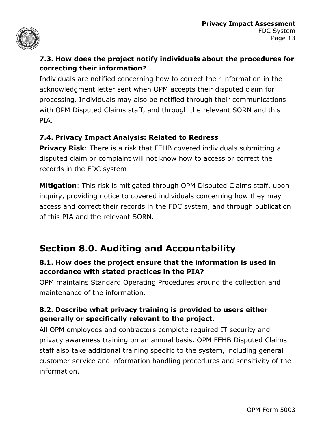

#### **7.3. How does the project notify individuals about the procedures for correcting their information?**

Individuals are notified concerning how to correct their information in the acknowledgment letter sent when OPM accepts their disputed claim for processing. Individuals may also be notified through their communications with OPM Disputed Claims staff, and through the relevant SORN and this PIA.

#### **7.4. Privacy Impact Analysis: Related to Redress**

**Privacy Risk**: There is a risk that FEHB covered individuals submitting a disputed claim or complaint will not know how to access or correct the records in the FDC system

**Mitigation**: This risk is mitigated through OPM Disputed Claims staff, upon inquiry, providing notice to covered individuals concerning how they may access and correct their records in the FDC system, and through publication of this PIA and the relevant SORN.

### **Section 8.0. Auditing and Accountability**

#### **8.1. How does the project ensure that the information is used in accordance with stated practices in the PIA?**

OPM maintains Standard Operating Procedures around the collection and maintenance of the information.

#### **8.2. Describe what privacy training is provided to users either generally or specifically relevant to the project.**

All OPM employees and contractors complete required IT security and privacy awareness training on an annual basis. OPM FEHB Disputed Claims staff also take additional training specific to the system, including general customer service and information handling procedures and sensitivity of the information.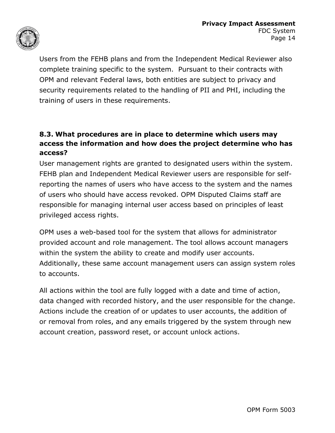

Users from the FEHB plans and from the Independent Medical Reviewer also complete training specific to the system. Pursuant to their contracts with OPM and relevant Federal laws, both entities are subject to privacy and security requirements related to the handling of PII and PHI, including the training of users in these requirements.

#### **8.3. What procedures are in place to determine which users may access the information and how does the project determine who has access?**

User management rights are granted to designated users within the system. FEHB plan and Independent Medical Reviewer users are responsible for selfreporting the names of users who have access to the system and the names of users who should have access revoked. OPM Disputed Claims staff are responsible for managing internal user access based on principles of least privileged access rights.

OPM uses a web-based tool for the system that allows for administrator provided account and role management. The tool allows account managers within the system the ability to create and modify user accounts. Additionally, these same account management users can assign system roles to accounts.

All actions within the tool are fully logged with a date and time of action, data changed with recorded history, and the user responsible for the change. Actions include the creation of or updates to user accounts, the addition of or removal from roles, and any emails triggered by the system through new account creation, password reset, or account unlock actions.